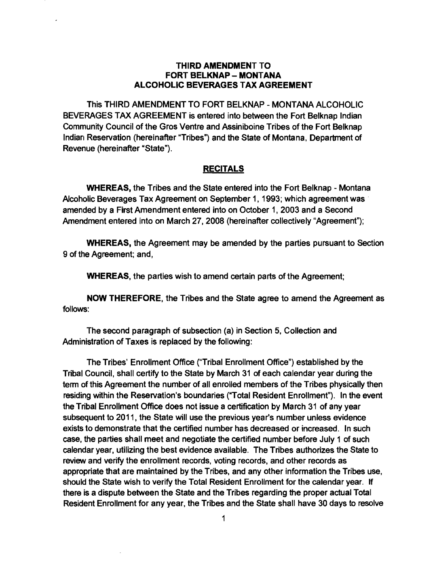## THIRD AMENDMENT TO FORT BELKNAP - MONTANA ALCOHOLIC BEVERAGES TAX AGREEMENT

This THIRD AMENDMENT TO FORT BELKNAP - MONTANA ALCOHOLIC BEVERAGES TAX AGREEMENT is entered into between the Fort Belknap Indian Community Council of the Gros Ventre and Assiniboine Tribes of the Fort Belknap Indian Reservation (hereinafter "Tribes") and the State of Montana, Department of Revenue (hereinafter "State"),

## **RECITALS**

WHEREAS, the Tribes and the State entered into the Fort Belknap - Montana Alcoholic Beverages Tax Agreement on September 1, 1993; which agreement was· amended by a First Amendment entered into on October 1, 2003 and a Second Amendment entered into on March 27, 2008 (hereinafter collectively "Agreement");

WHEREAS, the Agreement may be amended by the parties pursuant to Section 9 of the Agreement; and,

WHEREAS, the parties wish to amend certain parts of the Agreement;

NOW THEREFORE, the Tribes and the State agree to amend the Agreement as follows:

The second paragraph of subsection (a) in Section 5, Collection and Administration of Taxes is replaced by the following:

The Tribes' Enrollment Office ("Tribal Enrollment Office") established by the Tribal Council, shall certify to the State by March 31 of each calendar year during the term of this Agreement the number of all enrolled members of the Tribes physically then residing within the Reservation's boundaries ("Total Resident Enrollment"). In the event the Tribal Enrollment Office does not issue a certification by March 31 of any year subsequent to 2011, the State will use the previous year's number unless evidence exists to demonstrate that the certified number has decreased or increased. In such case, the parties shall meet and negotiate the certified number before July 1 of such calendar year, utilizing the best evidence available. The Tribes authorizes the State to review and verify the enrollment records, voting records, and other records as appropriate that are maintained by the Tribes, and any other information the Tribes use, should the State wish to verify the Total Resident Enrollment for the calendar year. If there is a dispute between the State and the Tribes regarding the proper actual Total Resident Enrollment for any year, the Tribes and the State shall have 30 days to resolve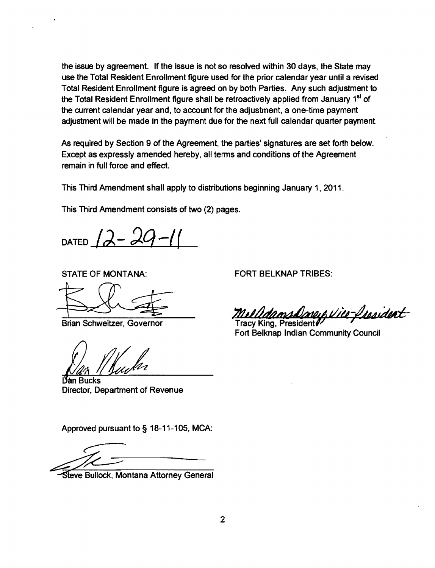the issue by agreement. If the issue is not so resolved within 30 days, the State may use the Total Resident Enrollment figure used for the prior calendar year until a revised Total Resident Enrollment figure is agreed on by both Parties. Any such adjustment to the Total Resident Enrollment figure shall be retroactively applied from January 1<sup>st</sup> of the current calendar year and, to account for the adjustment, a one-time payment adjustment will be made in the payment due for the next full calendar quarter payment.

As required by Section 9 of the Agreement, the parties· signatures are set forth below. Except as expressly amended hereby, all terms and conditions of the Agreement remain in full force and effect.

This Third Amendment shall apply to distributions beginning January 1. 2011.

This Third Amendment consists of two (2) pages.

DATED  $12-20$ 

STATE OF MONTANA:

Dan Bucks Director, Department of Revenue

Approved pursuant to § 18-11-105. MCA:

Steve Bullock, Montana Attorney General

STATE OF MONTANA: FORT BELKNAP TRIBES:

Brian Schweitzer. Governor 7*MMMdamsDoney Vice-Insaident* 

Fort Belknap Indian Community Council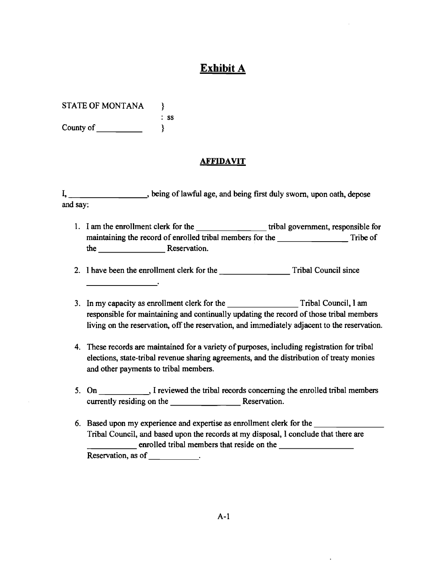## **Exhibit A**

STATE OF MONTANA } : ss County of\_\_\_\_\_ }

## **AFFIDAVIT**

I, \_\_\_\_\_\_\_\_\_\_\_\_\_\_\_\_, being of lawful age, and being first duly sworn, upon oath, depose and say:

1. I am the enrollment clerk for the \_\_\_\_\_\_\_\_\_\_\_\_\_\_\_\_\_\_\_\_\_ tribal government, responsible for maintaining the record of enrolled tribal members for the Tribe of the Reservation.

2. I have been the enrollment clerk for the Tribal Council since

- 3. In my capacity as enrollment clerk for the Tribal Council, I am responsible for maintaining and continually updating the record of those tribal members living on the reservation, off the reservation, and immediately adjacent to the reservation.
- 4. These records are maintained for a variety of purposes, including registration for tribal elections, state-tribal revenue sharing agreements, and the distribution of treaty monies and other payments to tribal members.
- 5. On \_\_\_\_\_\_\_\_\_\_\_\_, I reviewed the tribal records concerning the enrolled tribal members currently residing on the Reservation.
- Tribal Council, and based upon the records at my disposal, I conclude that there are<br>
<u>enrolled</u> tribal members that reside on the<br> **Reservation** as of 6. Based upon my experience and expertise as enrollment clerk for the enrolled tribal members that reside on the Reservation, as of \_\_\_\_\_